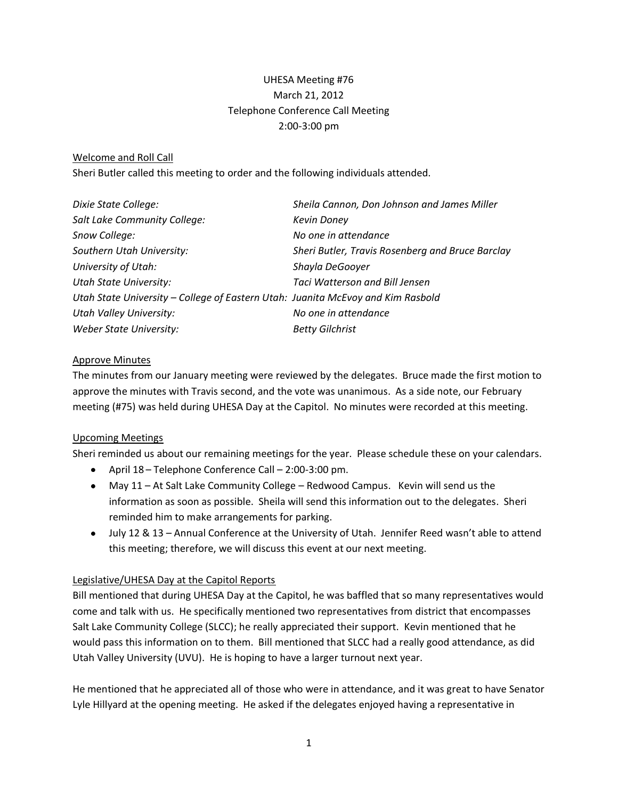# UHESA Meeting #76 March 21, 2012 Telephone Conference Call Meeting 2:00-3:00 pm

### Welcome and Roll Call

Sheri Butler called this meeting to order and the following individuals attended.

| Dixie State College:                                                            | Sheila Cannon, Don Johnson and James Miller      |
|---------------------------------------------------------------------------------|--------------------------------------------------|
| Salt Lake Community College:                                                    | <b>Kevin Doney</b>                               |
| Snow College:                                                                   | No one in attendance                             |
| Southern Utah University:                                                       | Sheri Butler, Travis Rosenberg and Bruce Barclay |
| University of Utah:                                                             | Shayla DeGooyer                                  |
| <b>Utah State University:</b>                                                   | Taci Watterson and Bill Jensen                   |
| Utah State University - College of Eastern Utah: Juanita McEvoy and Kim Rasbold |                                                  |
| <b>Utah Valley University:</b>                                                  | No one in attendance                             |
| Weber State University:                                                         | <b>Betty Gilchrist</b>                           |

### Approve Minutes

The minutes from our January meeting were reviewed by the delegates. Bruce made the first motion to approve the minutes with Travis second, and the vote was unanimous. As a side note, our February meeting (#75) was held during UHESA Day at the Capitol. No minutes were recorded at this meeting.

### Upcoming Meetings

Sheri reminded us about our remaining meetings for the year. Please schedule these on your calendars.

- April 18 Telephone Conference Call 2:00-3:00 pm.
- May 11 At Salt Lake Community College Redwood Campus. Kevin will send us the information as soon as possible. Sheila will send this information out to the delegates. Sheri reminded him to make arrangements for parking.
- July 12 & 13 Annual Conference at the University of Utah. Jennifer Reed wasn't able to attend this meeting; therefore, we will discuss this event at our next meeting.

# Legislative/UHESA Day at the Capitol Reports

Bill mentioned that during UHESA Day at the Capitol, he was baffled that so many representatives would come and talk with us. He specifically mentioned two representatives from district that encompasses Salt Lake Community College (SLCC); he really appreciated their support. Kevin mentioned that he would pass this information on to them. Bill mentioned that SLCC had a really good attendance, as did Utah Valley University (UVU). He is hoping to have a larger turnout next year.

He mentioned that he appreciated all of those who were in attendance, and it was great to have Senator Lyle Hillyard at the opening meeting. He asked if the delegates enjoyed having a representative in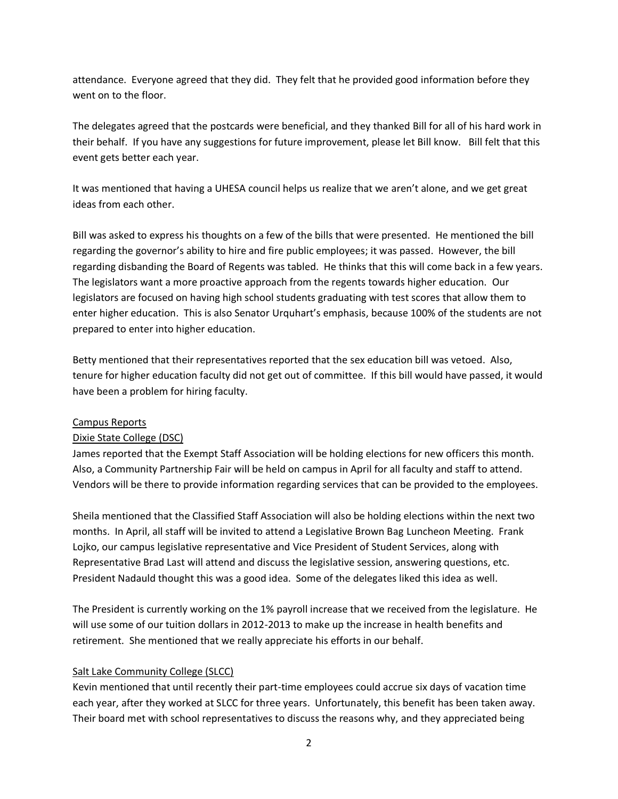attendance. Everyone agreed that they did. They felt that he provided good information before they went on to the floor.

The delegates agreed that the postcards were beneficial, and they thanked Bill for all of his hard work in their behalf. If you have any suggestions for future improvement, please let Bill know. Bill felt that this event gets better each year.

It was mentioned that having a UHESA council helps us realize that we aren't alone, and we get great ideas from each other.

Bill was asked to express his thoughts on a few of the bills that were presented. He mentioned the bill regarding the governor's ability to hire and fire public employees; it was passed. However, the bill regarding disbanding the Board of Regents was tabled. He thinks that this will come back in a few years. The legislators want a more proactive approach from the regents towards higher education. Our legislators are focused on having high school students graduating with test scores that allow them to enter higher education. This is also Senator Urquhart's emphasis, because 100% of the students are not prepared to enter into higher education.

Betty mentioned that their representatives reported that the sex education bill was vetoed. Also, tenure for higher education faculty did not get out of committee. If this bill would have passed, it would have been a problem for hiring faculty.

### Campus Reports

# Dixie State College (DSC)

James reported that the Exempt Staff Association will be holding elections for new officers this month. Also, a Community Partnership Fair will be held on campus in April for all faculty and staff to attend. Vendors will be there to provide information regarding services that can be provided to the employees.

Sheila mentioned that the Classified Staff Association will also be holding elections within the next two months. In April, all staff will be invited to attend a Legislative Brown Bag Luncheon Meeting. Frank Lojko, our campus legislative representative and Vice President of Student Services, along with Representative Brad Last will attend and discuss the legislative session, answering questions, etc. President Nadauld thought this was a good idea. Some of the delegates liked this idea as well.

The President is currently working on the 1% payroll increase that we received from the legislature. He will use some of our tuition dollars in 2012-2013 to make up the increase in health benefits and retirement. She mentioned that we really appreciate his efforts in our behalf.

# Salt Lake Community College (SLCC)

Kevin mentioned that until recently their part-time employees could accrue six days of vacation time each year, after they worked at SLCC for three years. Unfortunately, this benefit has been taken away. Their board met with school representatives to discuss the reasons why, and they appreciated being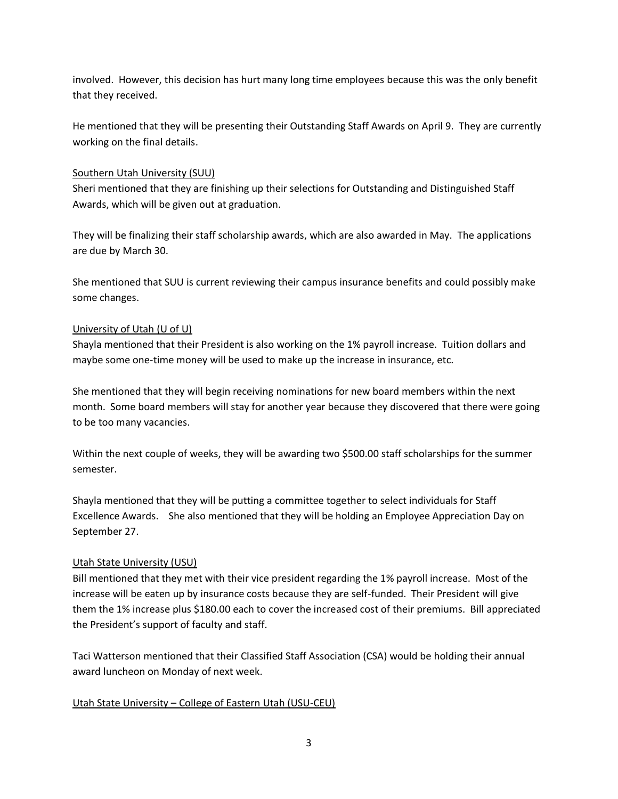involved. However, this decision has hurt many long time employees because this was the only benefit that they received.

He mentioned that they will be presenting their Outstanding Staff Awards on April 9. They are currently working on the final details.

### Southern Utah University (SUU)

Sheri mentioned that they are finishing up their selections for Outstanding and Distinguished Staff Awards, which will be given out at graduation.

They will be finalizing their staff scholarship awards, which are also awarded in May. The applications are due by March 30.

She mentioned that SUU is current reviewing their campus insurance benefits and could possibly make some changes.

### University of Utah (U of U)

Shayla mentioned that their President is also working on the 1% payroll increase. Tuition dollars and maybe some one-time money will be used to make up the increase in insurance, etc.

She mentioned that they will begin receiving nominations for new board members within the next month. Some board members will stay for another year because they discovered that there were going to be too many vacancies.

Within the next couple of weeks, they will be awarding two \$500.00 staff scholarships for the summer semester.

Shayla mentioned that they will be putting a committee together to select individuals for Staff Excellence Awards. She also mentioned that they will be holding an Employee Appreciation Day on September 27.

# Utah State University (USU)

Bill mentioned that they met with their vice president regarding the 1% payroll increase. Most of the increase will be eaten up by insurance costs because they are self-funded. Their President will give them the 1% increase plus \$180.00 each to cover the increased cost of their premiums. Bill appreciated the President's support of faculty and staff.

Taci Watterson mentioned that their Classified Staff Association (CSA) would be holding their annual award luncheon on Monday of next week.

### Utah State University – College of Eastern Utah (USU-CEU)